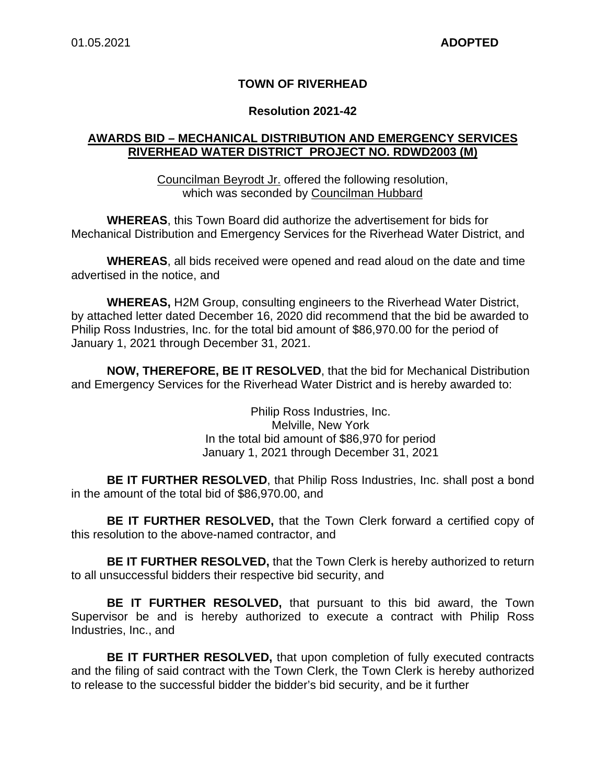### **TOWN OF RIVERHEAD**

#### **Resolution 2021-42**

### **AWARDS BID – MECHANICAL DISTRIBUTION AND EMERGENCY SERVICES RIVERHEAD WATER DISTRICT PROJECT NO. RDWD2003 (M)**

Councilman Beyrodt Jr. offered the following resolution, which was seconded by Councilman Hubbard

**WHEREAS**, this Town Board did authorize the advertisement for bids for Mechanical Distribution and Emergency Services for the Riverhead Water District, and

**WHEREAS**, all bids received were opened and read aloud on the date and time advertised in the notice, and

**WHEREAS,** H2M Group, consulting engineers to the Riverhead Water District, by attached letter dated December 16, 2020 did recommend that the bid be awarded to Philip Ross Industries, Inc. for the total bid amount of \$86,970.00 for the period of January 1, 2021 through December 31, 2021.

**NOW, THEREFORE, BE IT RESOLVED**, that the bid for Mechanical Distribution and Emergency Services for the Riverhead Water District and is hereby awarded to:

> Philip Ross Industries, Inc. Melville, New York In the total bid amount of \$86,970 for period January 1, 2021 through December 31, 2021

**BE IT FURTHER RESOLVED**, that Philip Ross Industries, Inc. shall post a bond in the amount of the total bid of \$86,970.00, and

**BE IT FURTHER RESOLVED,** that the Town Clerk forward a certified copy of this resolution to the above-named contractor, and

**BE IT FURTHER RESOLVED,** that the Town Clerk is hereby authorized to return to all unsuccessful bidders their respective bid security, and

**BE IT FURTHER RESOLVED,** that pursuant to this bid award, the Town Supervisor be and is hereby authorized to execute a contract with Philip Ross Industries, Inc., and

**BE IT FURTHER RESOLVED,** that upon completion of fully executed contracts and the filing of said contract with the Town Clerk, the Town Clerk is hereby authorized to release to the successful bidder the bidder's bid security, and be it further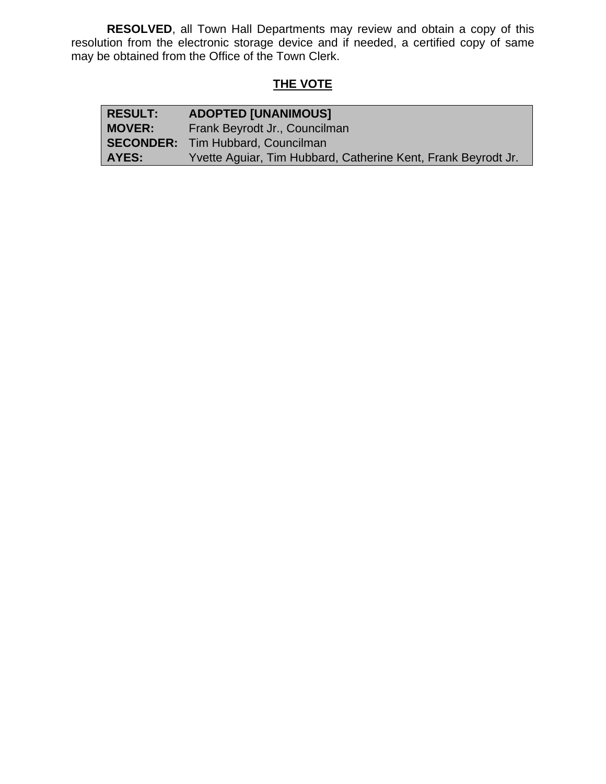**RESOLVED**, all Town Hall Departments may review and obtain a copy of this resolution from the electronic storage device and if needed, a certified copy of same may be obtained from the Office of the Town Clerk.

# **THE VOTE**

| <b>RESULT:</b> | <b>ADOPTED [UNANIMOUS]</b>                                    |
|----------------|---------------------------------------------------------------|
| <b>MOVER:</b>  | Frank Beyrodt Jr., Councilman                                 |
|                | <b>SECONDER:</b> Tim Hubbard, Councilman                      |
| AYES:          | Yvette Aguiar, Tim Hubbard, Catherine Kent, Frank Beyrodt Jr. |